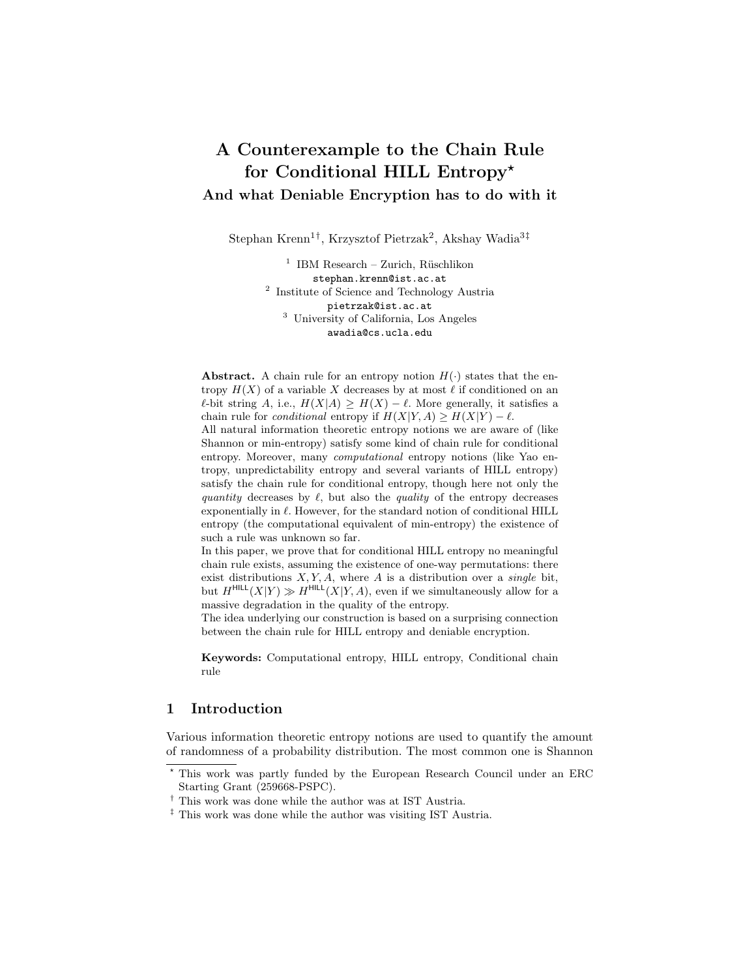# A Counterexample to the Chain Rule for Conditional HILL Entropy\* And what Deniable Encryption has to do with it

Stephan Krenn<sup>1†</sup>, Krzysztof Pietrzak<sup>2</sup>, Akshay Wadia<sup>3‡</sup>

<sup>1</sup> IBM Research – Zurich, Rüschlikon stephan.krenn@ist.ac.at 2 Institute of Science and Technology Austria pietrzak@ist.ac.at <sup>3</sup> University of California, Los Angeles awadia@cs.ucla.edu

Abstract. A chain rule for an entropy notion  $H(\cdot)$  states that the entropy  $H(X)$  of a variable X decreases by at most  $\ell$  if conditioned on an  $\ell$ -bit string A, i.e.,  $H(X|A) \geq H(X) - \ell$ . More generally, it satisfies a chain rule for *conditional* entropy if  $H(X|Y, A) > H(X|Y) - \ell$ .

All natural information theoretic entropy notions we are aware of (like Shannon or min-entropy) satisfy some kind of chain rule for conditional entropy. Moreover, many *computational* entropy notions (like Yao entropy, unpredictability entropy and several variants of HILL entropy) satisfy the chain rule for conditional entropy, though here not only the quantity decreases by  $\ell$ , but also the quality of the entropy decreases exponentially in  $\ell$ . However, for the standard notion of conditional HILL entropy (the computational equivalent of min-entropy) the existence of such a rule was unknown so far.

In this paper, we prove that for conditional HILL entropy no meaningful chain rule exists, assuming the existence of one-way permutations: there exist distributions  $X, Y, A$ , where A is a distribution over a *single* bit, but  $H^{\text{HILL}}(X|Y) \gg H^{\text{HILL}}(X|Y, A)$ , even if we simultaneously allow for a massive degradation in the quality of the entropy.

The idea underlying our construction is based on a surprising connection between the chain rule for HILL entropy and deniable encryption.

Keywords: Computational entropy, HILL entropy, Conditional chain rule

# 1 Introduction

Various information theoretic entropy notions are used to quantify the amount of randomness of a probability distribution. The most common one is Shannon

<sup>?</sup> This work was partly funded by the European Research Council under an ERC Starting Grant (259668-PSPC).

<sup>†</sup> This work was done while the author was at IST Austria.

<sup>‡</sup> This work was done while the author was visiting IST Austria.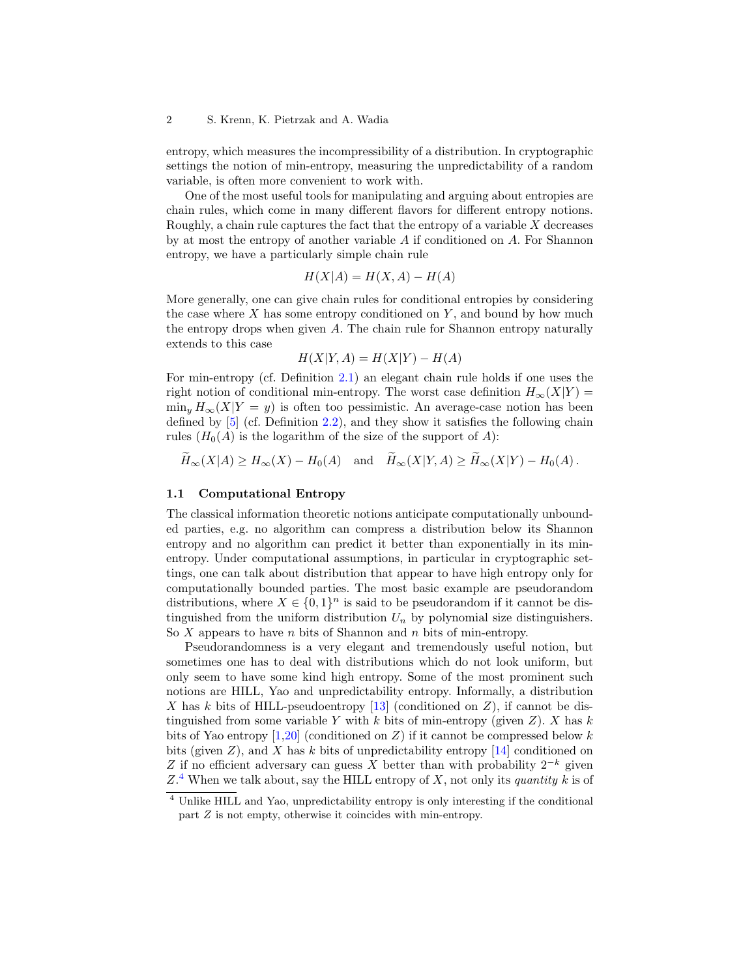#### 2 S. Krenn, K. Pietrzak and A. Wadia

entropy, which measures the incompressibility of a distribution. In cryptographic settings the notion of min-entropy, measuring the unpredictability of a random variable, is often more convenient to work with.

One of the most useful tools for manipulating and arguing about entropies are chain rules, which come in many different flavors for different entropy notions. Roughly, a chain rule captures the fact that the entropy of a variable  $X$  decreases by at most the entropy of another variable  $A$  if conditioned on  $A$ . For Shannon entropy, we have a particularly simple chain rule

$$
H(X|A) = H(X, A) - H(A)
$$

More generally, one can give chain rules for conditional entropies by considering the case where  $X$  has some entropy conditioned on  $Y$ , and bound by how much the entropy drops when given A. The chain rule for Shannon entropy naturally extends to this case

$$
H(X|Y,A) = H(X|Y) - H(A)
$$

For min-entropy (cf. Definition [2.1\)](#page-5-0) an elegant chain rule holds if one uses the right notion of conditional min-entropy. The worst case definition  $H_{\infty}(X|Y) =$  $\min_{y} H_{\infty}(X|Y = y)$  is often too pessimistic. An average-case notion has been defined by [\[5\]](#page-15-0) (cf. Definition [2.2\)](#page-5-1), and they show it satisfies the following chain rules  $(H_0(A))$  is the logarithm of the size of the support of A):

$$
H_{\infty}(X|A) \ge H_{\infty}(X) - H_0(A)
$$
 and  $H_{\infty}(X|Y,A) \ge H_{\infty}(X|Y) - H_0(A)$ .

#### 1.1 Computational Entropy

The classical information theoretic notions anticipate computationally unbounded parties, e.g. no algorithm can compress a distribution below its Shannon entropy and no algorithm can predict it better than exponentially in its minentropy. Under computational assumptions, in particular in cryptographic settings, one can talk about distribution that appear to have high entropy only for computationally bounded parties. The most basic example are pseudorandom distributions, where  $X \in \{0,1\}^n$  is said to be pseudorandom if it cannot be distinguished from the uniform distribution  $U_n$  by polynomial size distinguishers. So  $X$  appears to have  $n$  bits of Shannon and  $n$  bits of min-entropy.

Pseudorandomness is a very elegant and tremendously useful notion, but sometimes one has to deal with distributions which do not look uniform, but only seem to have some kind high entropy. Some of the most prominent such notions are HILL, Yao and unpredictability entropy. Informally, a distribution X has k bits of HILL-pseudoentropy  $[13]$  (conditioned on Z), if cannot be distinguished from some variable Y with k bits of min-entropy (given  $Z$ ). X has k bits of Yao entropy [\[1,](#page-15-1)[20\]](#page-16-1) (conditioned on Z) if it cannot be compressed below k bits (given  $Z$ ), and  $X$  has  $k$  bits of unpredictability entropy [\[14\]](#page-16-2) conditioned on Z if no efficient adversary can guess X better than with probability  $2^{-k}$  given  $Z<sup>4</sup>$  $Z<sup>4</sup>$  $Z<sup>4</sup>$  When we talk about, say the HILL entropy of X, not only its quantity k is of

<span id="page-1-0"></span><sup>4</sup> Unlike HILL and Yao, unpredictability entropy is only interesting if the conditional part Z is not empty, otherwise it coincides with min-entropy.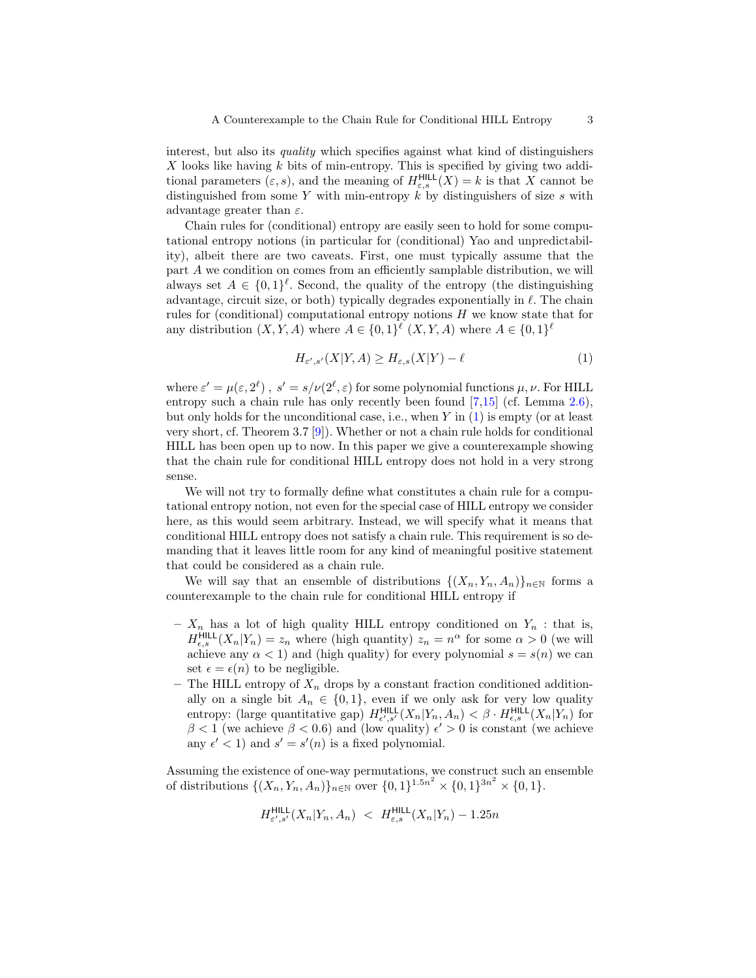interest, but also its *quality* which specifies against what kind of distinguishers X looks like having  $k$  bits of min-entropy. This is specified by giving two additional parameters  $(\varepsilon, s)$ , and the meaning of  $H_{\varepsilon,s}^{HILL}(X) = k$  is that X cannot be distinguished from some Y with min-entropy  $k$  by distinguishers of size  $s$  with advantage greater than  $\varepsilon$ .

Chain rules for (conditional) entropy are easily seen to hold for some computational entropy notions (in particular for (conditional) Yao and unpredictability), albeit there are two caveats. First, one must typically assume that the part A we condition on comes from an efficiently samplable distribution, we will always set  $A \in \{0,1\}^{\ell}$ . Second, the quality of the entropy (the distinguishing advantage, circuit size, or both) typically degrades exponentially in  $\ell$ . The chain rules for (conditional) computational entropy notions  $H$  we know state that for any distribution  $(X, Y, A)$  where  $A \in \{0,1\}^{\ell}$   $(X, Y, A)$  where  $A \in \{0,1\}^{\ell}$ 

<span id="page-2-0"></span>
$$
H_{\varepsilon',s'}(X|Y,A) \ge H_{\varepsilon,s}(X|Y) - \ell \tag{1}
$$

where  $\varepsilon' = \mu(\varepsilon, 2^{\ell})$ ,  $s' = s/\nu(2^{\ell}, \varepsilon)$  for some polynomial functions  $\mu, \nu$ . For HILL entropy such a chain rule has only recently been found [\[7,](#page-15-2)[15\]](#page-16-3) (cf. Lemma [2.6\)](#page-6-0), but only holds for the unconditional case, i.e., when  $Y$  in  $(1)$  is empty (or at least very short, cf. Theorem 3.7 [\[9\]](#page-15-3)). Whether or not a chain rule holds for conditional HILL has been open up to now. In this paper we give a counterexample showing that the chain rule for conditional HILL entropy does not hold in a very strong sense.

We will not try to formally define what constitutes a chain rule for a computational entropy notion, not even for the special case of HILL entropy we consider here, as this would seem arbitrary. Instead, we will specify what it means that conditional HILL entropy does not satisfy a chain rule. This requirement is so demanding that it leaves little room for any kind of meaningful positive statement that could be considered as a chain rule.

We will say that an ensemble of distributions  $\{(X_n, Y_n, A_n)\}_{n\in\mathbb{N}}$  forms a counterexample to the chain rule for conditional HILL entropy if

- $X_n$  has a lot of high quality HILL entropy conditioned on  $Y_n$ : that is,  $H_{\epsilon,s}^{\text{HILL}}(X_n|Y_n) = z_n$  where (high quantity)  $z_n = n^{\alpha}$  for some  $\alpha > 0$  (we will achieve any  $\alpha < 1$ ) and (high quality) for every polynomial  $s = s(n)$  we can set  $\epsilon = \epsilon(n)$  to be negligible.
- The HILL entropy of  $X_n$  drops by a constant fraction conditioned additionally on a single bit  $A_n \in \{0,1\}$ , even if we only ask for very low quality entropy: (large quantitative gap)  $H_{\epsilon',s'}^{\text{HILL}}(X_n|Y_n, A_n) < \beta \cdot H_{\epsilon,s}^{\text{HILL}}(X_n|Y_n)$  for  $\beta$  < 1 (we achieve  $\beta$  < 0.6) and (low quality)  $\epsilon' > 0$  is constant (we achieve any  $\epsilon' < 1$ ) and  $s' = s'(n)$  is a fixed polynomial.

Assuming the existence of one-way permutations, we construct such an ensemble of distributions  $\{(X_n, Y_n, A_n)\}_{n \in \mathbb{N}}$  over  $\{0, 1\}^{1.5n^2} \times \{0, 1\}^{3n^2} \times \{0, 1\}.$ 

$$
H^{\textrm{HILL}}_{\varepsilon',s'}(X_n|Y_n,A_n) \ < \ H^{\textrm{HILL}}_{\varepsilon,s}(X_n|Y_n) - 1.25n
$$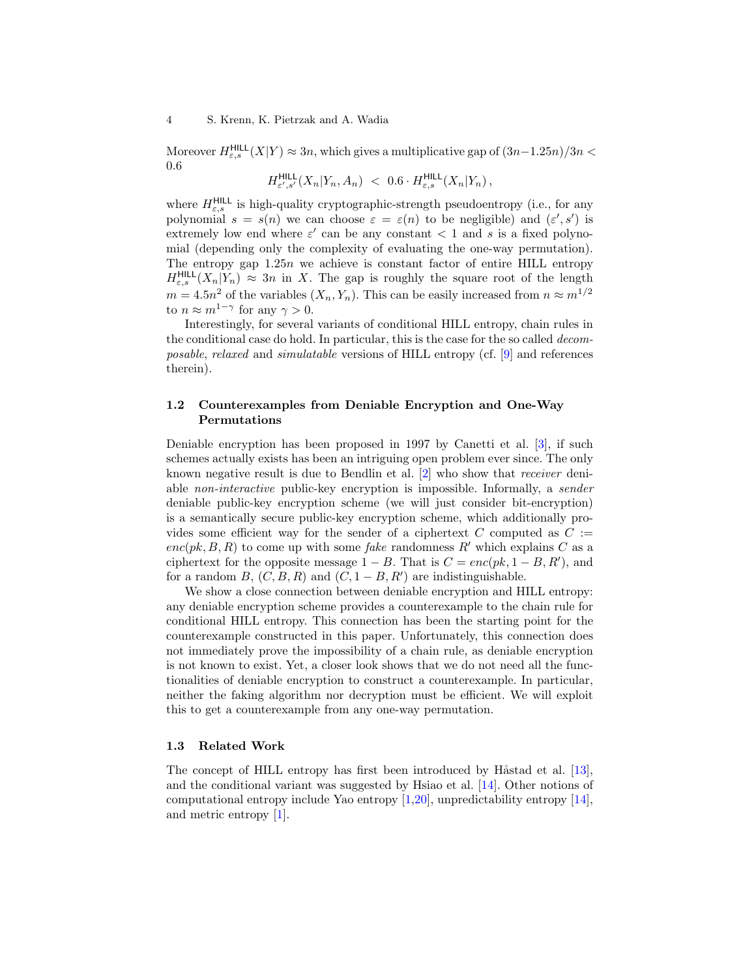Moreover  $H_{\varepsilon,s}^{\text{HILL}}(X|Y) \approx 3n$ , which gives a multiplicative gap of  $(3n-1.25n)/3n <$ 0.6

$$
H_{\varepsilon',s'}^{\mathsf{HILL}}(X_n|Y_n,A_n) \; < \; 0.6 \cdot H_{\varepsilon,s}^{\mathsf{HILL}}(X_n|Y_n) \,,
$$

where  $H_{\varepsilon,s}^{\text{HILL}}$  is high-quality cryptographic-strength pseudoentropy (i.e., for any polynomial  $s = s(n)$  we can choose  $\varepsilon = \varepsilon(n)$  to be negligible) and  $(\varepsilon', s')$  is extremely low end where  $\varepsilon'$  can be any constant  $\langle 1 \rangle$  and s is a fixed polynomial (depending only the complexity of evaluating the one-way permutation). The entropy gap  $1.25n$  we achieve is constant factor of entire HILL entropy  $H_{\varepsilon,s}^{\text{HILL}}(X_n|Y_n) \approx 3n$  in X. The gap is roughly the square root of the length  $m = 4.5n^2$  of the variables  $(X_n, Y_n)$ . This can be easily increased from  $n \approx m^{1/2}$ to  $n \approx m^{1-\gamma}$  for any  $\gamma > 0$ .

Interestingly, for several variants of conditional HILL entropy, chain rules in the conditional case do hold. In particular, this is the case for the so called *decom*posable, relaxed and simulatable versions of HILL entropy (cf. [\[9\]](#page-15-3) and references therein).

# 1.2 Counterexamples from Deniable Encryption and One-Way Permutations

Deniable encryption has been proposed in 1997 by Canetti et al. [\[3\]](#page-15-4), if such schemes actually exists has been an intriguing open problem ever since. The only known negative result is due to Bendlin et al. [\[2\]](#page-15-5) who show that receiver deniable non-interactive public-key encryption is impossible. Informally, a sender deniable public-key encryption scheme (we will just consider bit-encryption) is a semantically secure public-key encryption scheme, which additionally provides some efficient way for the sender of a ciphertext C computed as  $C :=$  $enc(pk, B, R)$  to come up with some *fake* randomness R' which explains C as a ciphertext for the opposite message  $1 - B$ . That is  $C = enc(pk, 1 - B, R')$ , and for a random B,  $(C, B, R)$  and  $(C, 1 - B, R')$  are indistinguishable.

We show a close connection between deniable encryption and HILL entropy: any deniable encryption scheme provides a counterexample to the chain rule for conditional HILL entropy. This connection has been the starting point for the counterexample constructed in this paper. Unfortunately, this connection does not immediately prove the impossibility of a chain rule, as deniable encryption is not known to exist. Yet, a closer look shows that we do not need all the functionalities of deniable encryption to construct a counterexample. In particular, neither the faking algorithm nor decryption must be efficient. We will exploit this to get a counterexample from any one-way permutation.

#### 1.3 Related Work

The concept of HILL entropy has first been introduced by Håstad et al. [\[13\]](#page-16-0), and the conditional variant was suggested by Hsiao et al. [\[14\]](#page-16-2). Other notions of computational entropy include Yao entropy  $[1,20]$  $[1,20]$ , unpredictability entropy  $[14]$ , and metric entropy [\[1\]](#page-15-1).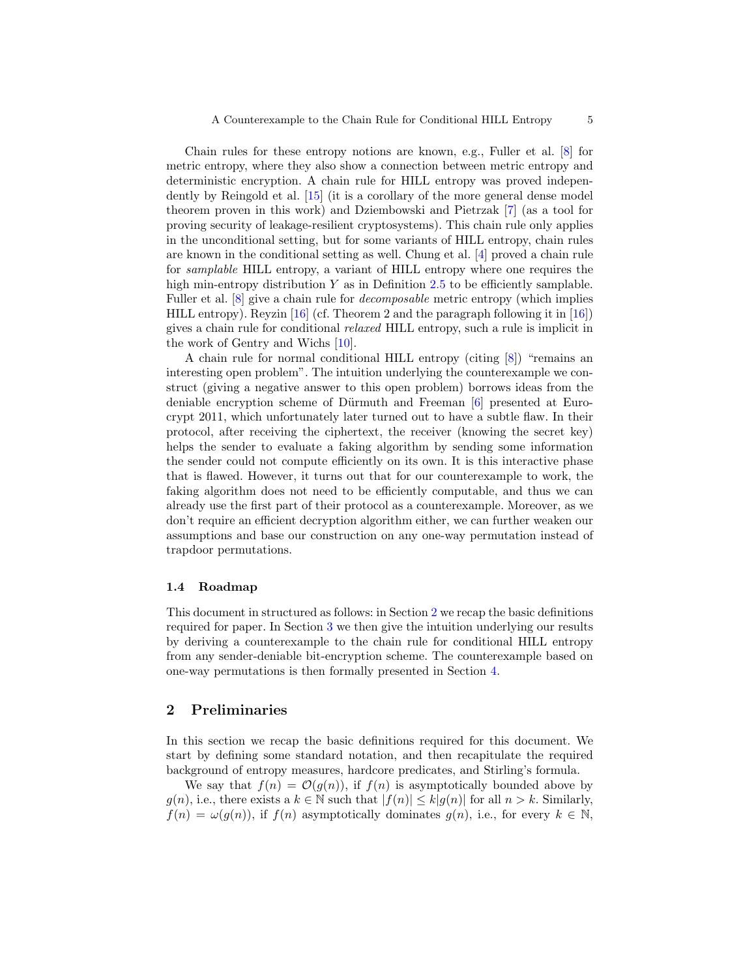Chain rules for these entropy notions are known, e.g., Fuller et al. [\[8\]](#page-15-6) for metric entropy, where they also show a connection between metric entropy and deterministic encryption. A chain rule for HILL entropy was proved independently by Reingold et al. [\[15\]](#page-16-3) (it is a corollary of the more general dense model theorem proven in this work) and Dziembowski and Pietrzak [\[7\]](#page-15-2) (as a tool for proving security of leakage-resilient cryptosystems). This chain rule only applies in the unconditional setting, but for some variants of HILL entropy, chain rules are known in the conditional setting as well. Chung et al. [\[4\]](#page-15-7) proved a chain rule for samplable HILL entropy, a variant of HILL entropy where one requires the high min-entropy distribution  $Y$  as in Definition [2.5](#page-6-1) to be efficiently samplable. Fuller et al.  $[8]$  give a chain rule for *decomposable* metric entropy (which implies HILL entropy). Reyzin [\[16\]](#page-16-4) (cf. Theorem 2 and the paragraph following it in [\[16\]](#page-16-4)) gives a chain rule for conditional relaxed HILL entropy, such a rule is implicit in the work of Gentry and Wichs [\[10\]](#page-15-8).

A chain rule for normal conditional HILL entropy (citing [\[8\]](#page-15-6)) "remains an interesting open problem". The intuition underlying the counterexample we construct (giving a negative answer to this open problem) borrows ideas from the deniable encryption scheme of Dürmuth and Freeman  $[6]$  presented at Eurocrypt 2011, which unfortunately later turned out to have a subtle flaw. In their protocol, after receiving the ciphertext, the receiver (knowing the secret key) helps the sender to evaluate a faking algorithm by sending some information the sender could not compute efficiently on its own. It is this interactive phase that is flawed. However, it turns out that for our counterexample to work, the faking algorithm does not need to be efficiently computable, and thus we can already use the first part of their protocol as a counterexample. Moreover, as we don't require an efficient decryption algorithm either, we can further weaken our assumptions and base our construction on any one-way permutation instead of trapdoor permutations.

#### 1.4 Roadmap

This document in structured as follows: in Section [2](#page-4-0) we recap the basic definitions required for paper. In Section [3](#page-8-0) we then give the intuition underlying our results by deriving a counterexample to the chain rule for conditional HILL entropy from any sender-deniable bit-encryption scheme. The counterexample based on one-way permutations is then formally presented in Section [4.](#page-11-0)

# <span id="page-4-0"></span>2 Preliminaries

In this section we recap the basic definitions required for this document. We start by defining some standard notation, and then recapitulate the required background of entropy measures, hardcore predicates, and Stirling's formula.

We say that  $f(n) = \mathcal{O}(q(n))$ , if  $f(n)$  is asymptotically bounded above by  $g(n)$ , i.e., there exists a  $k \in \mathbb{N}$  such that  $|f(n)| \le k|g(n)|$  for all  $n > k$ . Similarly,  $f(n) = \omega(g(n))$ , if  $f(n)$  asymptotically dominates  $g(n)$ , i.e., for every  $k \in \mathbb{N}$ ,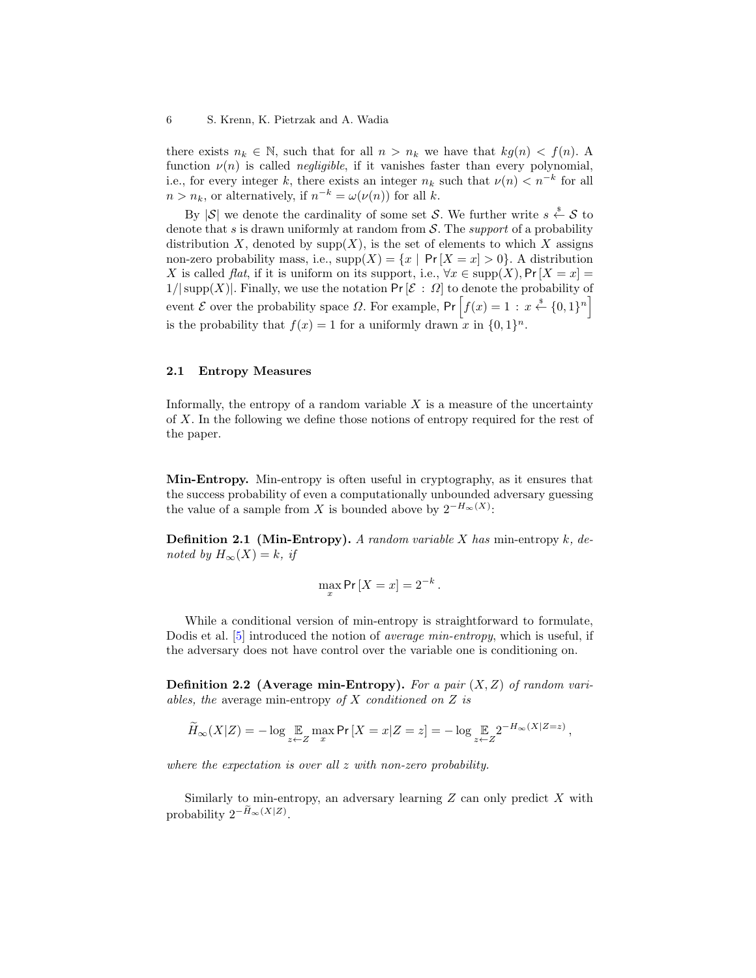there exists  $n_k \in \mathbb{N}$ , such that for all  $n > n_k$  we have that  $kg(n) < f(n)$ . A function  $\nu(n)$  is called *negligible*, if it vanishes faster than every polynomial, i.e., for every integer k, there exists an integer  $n_k$  such that  $\nu(n) < n^{-k}$  for all  $n > n_k$ , or alternatively, if  $n^{-k} = \omega(\nu(n))$  for all k.

By  $|S|$  we denote the cardinality of some set S. We further write  $s \stackrel{\$}{\leftarrow} S$  to denote that s is drawn uniformly at random from  $S$ . The support of a probability distribution X, denoted by  $\text{supp}(X)$ , is the set of elements to which X assigns non-zero probability mass, i.e.,  $supp(X) = \{x \mid Pr[X = x] > 0\}$ . A distribution X is called flat, if it is uniform on its support, i.e.,  $\forall x \in \text{supp}(X)$ ,  $Pr[X = x] =$  $1/|\text{supp}(X)|$ . Finally, we use the notation  $Pr[\mathcal{E} : \Omega]$  to denote the probability of event  $\mathcal E$  over the probability space  $\Omega$ . For example, Pr  $\left[f(x)=1 : x \stackrel{s}{\leftarrow} \{0,1\}^n\right]$ is the probability that  $f(x) = 1$  for a uniformly drawn x in  $\{0, 1\}^n$ .

#### 2.1 Entropy Measures

Informally, the entropy of a random variable  $X$  is a measure of the uncertainty of X. In the following we define those notions of entropy required for the rest of the paper.

Min-Entropy. Min-entropy is often useful in cryptography, as it ensures that the success probability of even a computationally unbounded adversary guessing the value of a sample from X is bounded above by  $2^{-H_{\infty}(X)}$ :

**Definition 2.1 (Min-Entropy).** A random variable X has min-entropy  $k$ , denoted by  $H_{\infty}(X) = k$ , if

<span id="page-5-0"></span>
$$
\max_x \Pr\left[X = x\right] = 2^{-k}.
$$

While a conditional version of min-entropy is straightforward to formulate, Dodis et al. [\[5\]](#page-15-0) introduced the notion of *average min-entropy*, which is useful, if the adversary does not have control over the variable one is conditioning on.

<span id="page-5-1"></span>**Definition 2.2 (Average min-Entropy).** For a pair  $(X, Z)$  of random variables, the average min-entropy of  $X$  conditioned on  $Z$  is

$$
\widetilde{H}_{\infty}(X|Z) = -\log \mathop{\mathbb{E}}_{z \leftarrow Z} \max_{x} \Pr\left[X = x | Z = z\right] = -\log \mathop{\mathbb{E}}_{z \leftarrow Z} 2^{-H_{\infty}(X|Z=z)},
$$

where the expectation is over all z with non-zero probability.

Similarly to min-entropy, an adversary learning  $Z$  can only predict  $X$  with probability  $2^{-H_{\infty}(X|Z)}$ .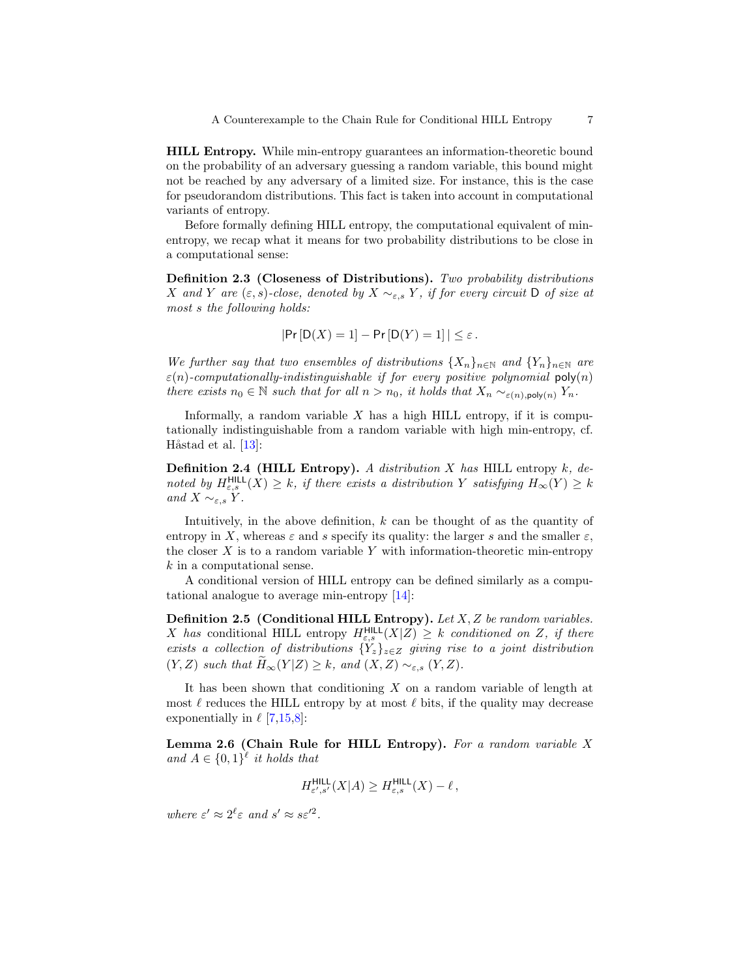HILL Entropy. While min-entropy guarantees an information-theoretic bound on the probability of an adversary guessing a random variable, this bound might not be reached by any adversary of a limited size. For instance, this is the case for pseudorandom distributions. This fact is taken into account in computational variants of entropy.

Before formally defining HILL entropy, the computational equivalent of minentropy, we recap what it means for two probability distributions to be close in a computational sense:

Definition 2.3 (Closeness of Distributions). Two probability distributions X and Y are  $(\varepsilon, s)$ -close, denoted by  $X \sim_{\varepsilon} Y$ , if for every circuit D of size at most s the following holds:

$$
|\Pr[D(X) = 1] - \Pr[D(Y) = 1]| \le \varepsilon.
$$

We further say that two ensembles of distributions  $\{X_n\}_{n\in\mathbb{N}}$  and  $\{Y_n\}_{n\in\mathbb{N}}$  are  $\varepsilon(n)$ -computationally-indistinguishable if for every positive polynomial poly $(n)$ there exists  $n_0 \in \mathbb{N}$  such that for all  $n > n_0$ , it holds that  $X_n \sim_{\varepsilon(n),\text{poly}(n)} Y_n$ .

Informally, a random variable  $X$  has a high HILL entropy, if it is computationally indistinguishable from a random variable with high min-entropy, cf. Håstad et al.  $[13]$ :

**Definition 2.4 (HILL Entropy).** A distribution X has HILL entropy  $k$ , denoted by  $H_{\varepsilon,s}^{\text{HILL}}(X) \geq k$ , if there exists a distribution Y satisfying  $H_{\infty}(Y) \geq k$ and  $X \sim_{\varepsilon,s} Y$ .

Intuitively, in the above definition,  $k$  can be thought of as the quantity of entropy in X, whereas  $\varepsilon$  and s specify its quality: the larger s and the smaller  $\varepsilon$ , the closer  $X$  is to a random variable  $Y$  with information-theoretic min-entropy k in a computational sense.

A conditional version of HILL entropy can be defined similarly as a computational analogue to average min-entropy [\[14\]](#page-16-2):

**Definition 2.5 (Conditional HILL Entropy).** Let  $X$ ,  $Z$  be random variables. X has conditional HILL entropy  $H_{\varepsilon,s}^{HILL}(X|Z) \geq k$  conditioned on Z, if there exists a collection of distributions  $\{Y_z\}_{z\in Z}$  giving rise to a joint distribution  $(Y, Z)$  such that  $\widetilde{H}_{\infty}(Y|Z) \geq k$ , and  $(X, Z) \sim_{\varepsilon, s} (Y, Z)$ .

It has been shown that conditioning  $X$  on a random variable of length at most  $\ell$  reduces the HILL entropy by at most  $\ell$  bits, if the quality may decrease exponentially in  $\ell$  [\[7,](#page-15-2)[15,](#page-16-3)[8\]](#page-15-6):

<span id="page-6-0"></span>Lemma 2.6 (Chain Rule for HILL Entropy). For a random variable  $X$ and  $A \in \{0,1\}^{\ell}$  it holds that

<span id="page-6-1"></span>
$$
H_{\varepsilon',s'}^{\mathsf{HILL}}(X|A) \ge H_{\varepsilon,s}^{\mathsf{HILL}}(X) - \ell\,,
$$

where  $\varepsilon' \approx 2^{\ell} \varepsilon$  and  $s' \approx s \varepsilon'^2$ .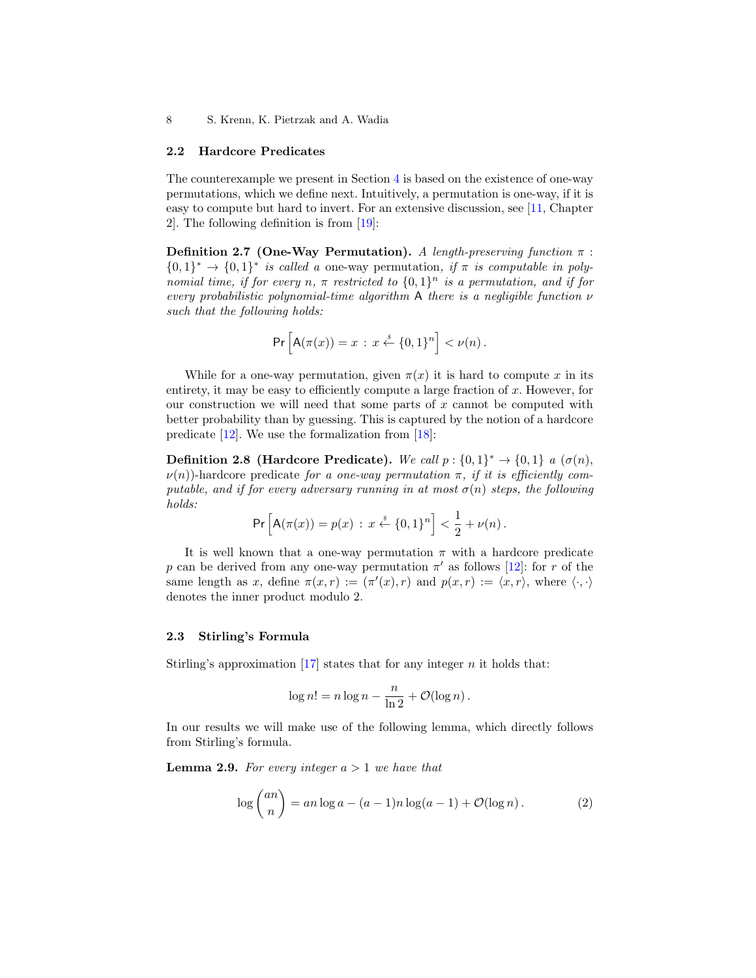### 2.2 Hardcore Predicates

The counterexample we present in Section [4](#page-11-0) is based on the existence of one-way permutations, which we define next. Intuitively, a permutation is one-way, if it is easy to compute but hard to invert. For an extensive discussion, see [\[11,](#page-16-5) Chapter 2]. The following definition is from [\[19\]](#page-16-6):

Definition 2.7 (One-Way Permutation). A length-preserving function  $\pi$ :  $\{0,1\}^* \rightarrow \{0,1\}^*$  is called a one-way permutation, if  $\pi$  is computable in polynomial time, if for every n,  $\pi$  restricted to  $\{0,1\}^n$  is a permutation, and if for every probabilistic polynomial-time algorithm A there is a negligible function  $\nu$ such that the following holds:

$$
\Pr\left[\mathsf{A}(\pi(x)) = x \, : \, x \stackrel{s}{\leftarrow} \{0,1\}^n\right] < \nu(n) \, .
$$

While for a one-way permutation, given  $\pi(x)$  it is hard to compute x in its entirety, it may be easy to efficiently compute a large fraction of x. However, for our construction we will need that some parts of  $x$  cannot be computed with better probability than by guessing. This is captured by the notion of a hardcore predicate  $[12]$ . We use the formalization from  $[18]$ :

Definition 2.8 (Hardcore Predicate). We call  $p: \{0,1\}^* \to \{0,1\}$  a  $(\sigma(n),$  $\nu(n)$ )-hardcore predicate for a one-way permutation  $\pi$ , if it is efficiently computable, and if for every adversary running in at most  $\sigma(n)$  steps, the following holds:

$$
\Pr\left[\mathsf{A}(\pi(x)) = p(x) : x \stackrel{s}{\leftarrow} \{0,1\}^n\right] < \frac{1}{2} + \nu(n) \,.
$$

It is well known that a one-way permutation  $\pi$  with a hardcore predicate p can be derived from any one-way permutation  $\pi'$  as follows [\[12\]](#page-16-7): for r of the same length as x, define  $\pi(x,r) := (\pi'(x), r)$  and  $p(x,r) := \langle x, r \rangle$ , where  $\langle \cdot, \cdot \rangle$ denotes the inner product modulo 2.

### 2.3 Stirling's Formula

Stirling's approximation  $[17]$  states that for any integer n it holds that:

$$
\log n! = n \log n - \frac{n}{\ln 2} + \mathcal{O}(\log n).
$$

In our results we will make use of the following lemma, which directly follows from Stirling's formula.

**Lemma 2.9.** For every integer  $a > 1$  we have that

<span id="page-7-0"></span>
$$
\log {an \choose n} = an \log a - (a-1)n \log(a-1) + \mathcal{O}(\log n).
$$
 (2)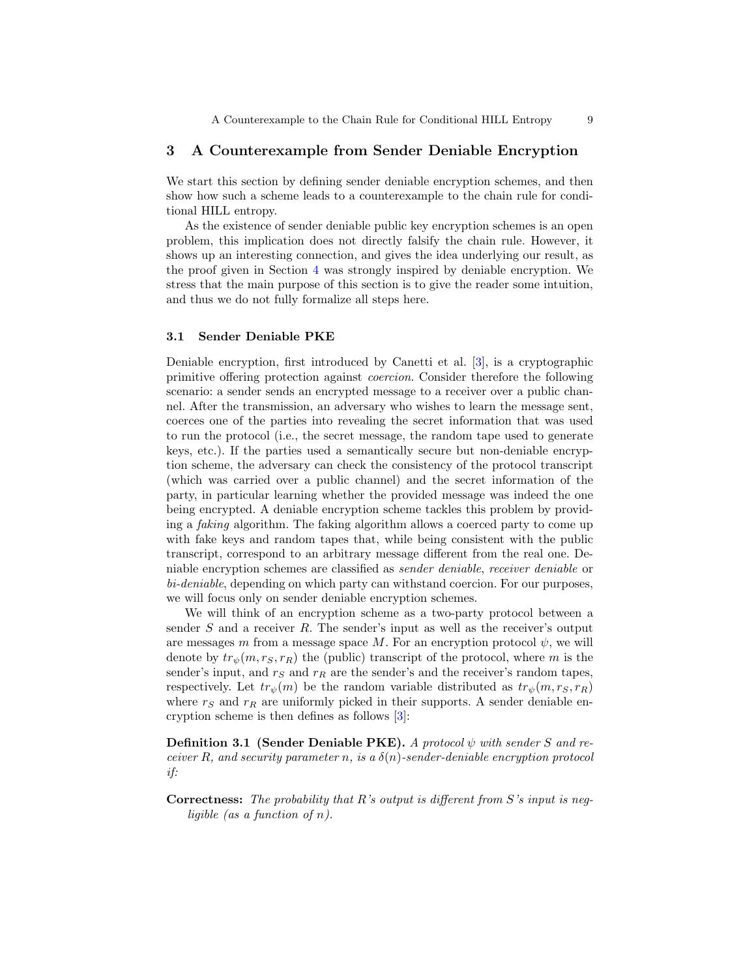# <span id="page-8-0"></span>3 A Counterexample from Sender Deniable Encryption

We start this section by defining sender deniable encryption schemes, and then show how such a scheme leads to a counterexample to the chain rule for conditional HILL entropy.

As the existence of sender deniable public key encryption schemes is an open problem, this implication does not directly falsify the chain rule. However, it shows up an interesting connection, and gives the idea underlying our result, as the proof given in Section [4](#page-11-0) was strongly inspired by deniable encryption. We stress that the main purpose of this section is to give the reader some intuition, and thus we do not fully formalize all steps here.

#### 3.1 Sender Deniable PKE

Deniable encryption, first introduced by Canetti et al. [\[3\]](#page-15-4), is a cryptographic primitive offering protection against coercion. Consider therefore the following scenario: a sender sends an encrypted message to a receiver over a public channel. After the transmission, an adversary who wishes to learn the message sent, coerces one of the parties into revealing the secret information that was used to run the protocol (i.e., the secret message, the random tape used to generate keys, etc.). If the parties used a semantically secure but non-deniable encryption scheme, the adversary can check the consistency of the protocol transcript (which was carried over a public channel) and the secret information of the party, in particular learning whether the provided message was indeed the one being encrypted. A deniable encryption scheme tackles this problem by providing a faking algorithm. The faking algorithm allows a coerced party to come up with fake keys and random tapes that, while being consistent with the public transcript, correspond to an arbitrary message different from the real one. Deniable encryption schemes are classified as sender deniable, receiver deniable or bi-deniable, depending on which party can withstand coercion. For our purposes, we will focus only on sender deniable encryption schemes.

We will think of an encryption scheme as a two-party protocol between a sender  $S$  and a receiver  $R$ . The sender's input as well as the receiver's output are messages m from a message space M. For an encryption protocol  $\psi$ , we will denote by  $tr_{\psi}(m, r_S, r_R)$  the (public) transcript of the protocol, where m is the sender's input, and  $r_S$  and  $r_R$  are the sender's and the receiver's random tapes, respectively. Let  $tr_{\psi}(m)$  be the random variable distributed as  $tr_{\psi}(m, r<sub>S</sub>, r<sub>R</sub>)$ where  $r_S$  and  $r_R$  are uniformly picked in their supports. A sender deniable encryption scheme is then defines as follows [\[3\]](#page-15-4):

<span id="page-8-1"></span>**Definition 3.1 (Sender Deniable PKE).** A protocol  $\psi$  with sender S and receiver R, and security parameter n, is a  $\delta(n)$ -sender-deniable encryption protocol if:

**Correctness:** The probability that  $R$ 's output is different from  $S$ 's input is negligible (as a function of  $n$ ).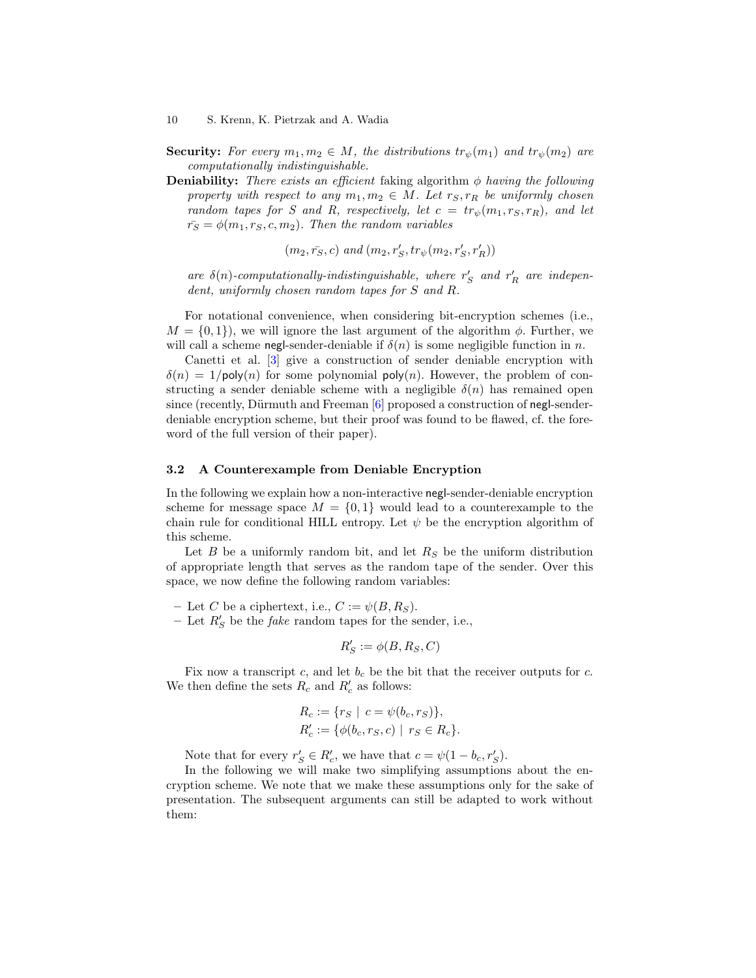#### 10 S. Krenn, K. Pietrzak and A. Wadia

**Security:** For every  $m_1, m_2 \in M$ , the distributions  $tr_{\psi}(m_1)$  and  $tr_{\psi}(m_2)$  are computationally indistinguishable.

**Deniability:** There exists an efficient faking algorithm  $\phi$  having the following property with respect to any  $m_1, m_2 \in M$ . Let  $r_S, r_R$  be uniformly chosen random tapes for S and R, respectively, let  $c = tr_{\psi}(m_1, r_S, r_R)$ , and let  $r_{S} = \phi(m_1, r_S, c, m_2)$ . Then the random variables

 $(m_2, \bar{r_S}, c)$  and  $(m_2, r_S', tr_\psi(m_2, r_S', r_R'))$ 

 $\emph{are $\delta(n)$-computationally-indistinguishable, where $r'_{S}$ and $r'_{R}$ are independent.}$ dent, uniformly chosen random tapes for S and R.

For notational convenience, when considering bit-encryption schemes (i.e.,  $M = \{0, 1\}$ , we will ignore the last argument of the algorithm  $\phi$ . Further, we will call a scheme negl-sender-deniable if  $\delta(n)$  is some negligible function in n.

Canetti et al. [\[3\]](#page-15-4) give a construction of sender deniable encryption with  $\delta(n) = 1/\text{poly}(n)$  for some polynomial  $\text{poly}(n)$ . However, the problem of constructing a sender deniable scheme with a negligible  $\delta(n)$  has remained open since (recently, Dürmuth and Freeman  $[6]$  proposed a construction of negl-senderdeniable encryption scheme, but their proof was found to be flawed, cf. the foreword of the full version of their paper).

### 3.2 A Counterexample from Deniable Encryption

In the following we explain how a non-interactive negl-sender-deniable encryption scheme for message space  $M = \{0, 1\}$  would lead to a counterexample to the chain rule for conditional HILL entropy. Let  $\psi$  be the encryption algorithm of this scheme.

Let  $B$  be a uniformly random bit, and let  $R<sub>S</sub>$  be the uniform distribution of appropriate length that serves as the random tape of the sender. Over this space, we now define the following random variables:

- Let C be a ciphertext, i.e.,  $C := \psi(B, R_S)$ .
- Let  $R'_S$  be the *fake* random tapes for the sender, i.e.,

$$
R'_S:=\phi(B,R_S,C)
$$

Fix now a transcript  $c$ , and let  $b_c$  be the bit that the receiver outputs for  $c$ . We then define the sets  $R_c$  and  $R_c'$  as follows:

$$
R_c := \{ r_S \mid c = \psi(b_c, r_S) \},
$$
  

$$
R_c' := \{ \phi(b_c, r_S, c) \mid r_S \in R_c \}.
$$

Note that for every  $r'_{S} \in R'_{c}$ , we have that  $c = \psi(1 - b_{c}, r'_{S})$ .

In the following we will make two simplifying assumptions about the encryption scheme. We note that we make these assumptions only for the sake of presentation. The subsequent arguments can still be adapted to work without them: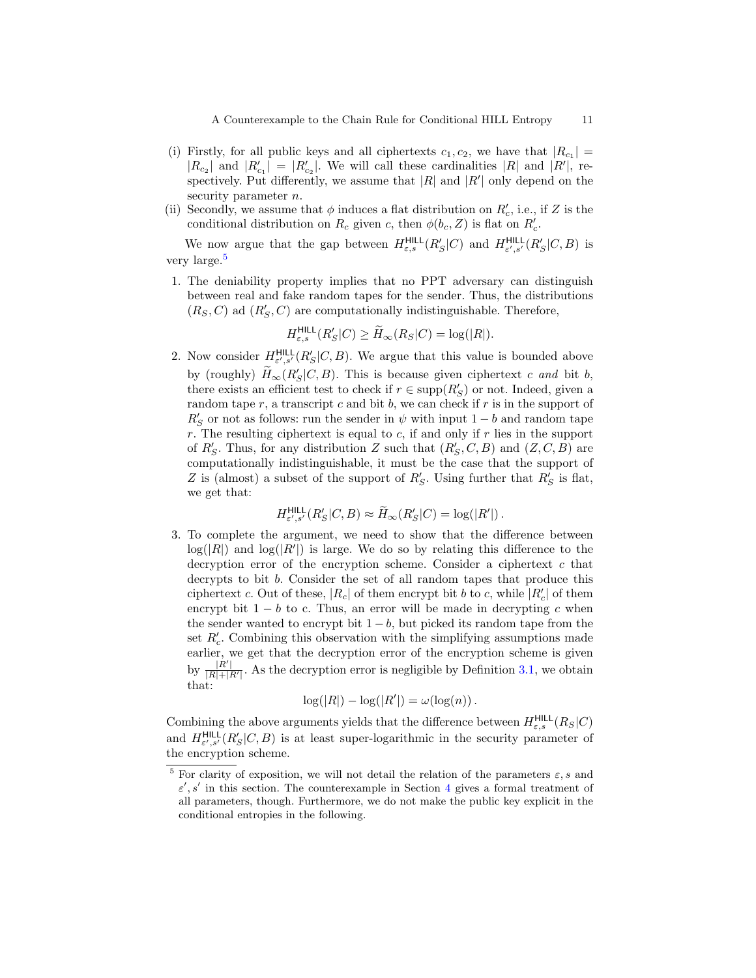- (i) Firstly, for all public keys and all ciphertexts  $c_1, c_2$ , we have that  $|R_{c_1}| =$  $|R_{c_2}|$  and  $|R'_{c_1}| = |R'_{c_2}|$ . We will call these cardinalities |R| and |R'|, respectively. Put differently, we assume that  $|R|$  and  $|R'|$  only depend on the security parameter *n*.
- (ii) Secondly, we assume that  $\phi$  induces a flat distribution on  $R_c'$ , i.e., if Z is the conditional distribution on  $R_c$  given c, then  $\phi(b_c, Z)$  is flat on  $R'_c$ .

We now argue that the gap between  $H_{\varepsilon,s}^{\text{HILL}}(R_S'|C)$  and  $H_{\varepsilon',s'}^{\text{HILL}}(R_S'|C,B)$  is very large.<sup>[5](#page-10-0)</sup>

1. The deniability property implies that no PPT adversary can distinguish between real and fake random tapes for the sender. Thus, the distributions  $(R_S, C)$ ad  $(R'_S, C)$  are computationally indistinguishable. Therefore,

$$
H_{\varepsilon,s}^{\text{HILL}}(R'_S|C) \ge \widetilde{H}_{\infty}(R_S|C) = \log(|R|).
$$

2. Now consider  $H_{\varepsilon',s'}^{\text{HILL}}(R_S'|C, B)$ . We argue that this value is bounded above by (roughly)  $\widetilde{H}_{\infty}(R'_{S}|C, B)$ . This is because given ciphertext c and bit b, there exists an efficient test to check if  $r \in \text{supp}(R'_S)$  or not. Indeed, given a random tape  $r$ , a transcript  $c$  and bit  $b$ , we can check if  $r$  is in the support of  $R'_S$  or not as follows: run the sender in  $\psi$  with input  $1 - b$  and random tape  $r$ . The resulting ciphertext is equal to  $c$ , if and only if  $r$  lies in the support of  $R'_{S}$ . Thus, for any distribution Z such that  $(R'_{S}, C, B)$  and  $(Z, C, B)$  are computationally indistinguishable, it must be the case that the support of Z is (almost) a subset of the support of  $R'_S$ . Using further that  $R'_S$  is flat, we get that:

$$
H_{\varepsilon',s'}^{\mathsf{HILL}}(R'_S|C,B) \approx \widetilde{H}_{\infty}(R'_S|C) = \log(|R'|).
$$

3. To complete the argument, we need to show that the difference between  $log(|R|)$  and  $log(|R'|)$  is large. We do so by relating this difference to the decryption error of the encryption scheme. Consider a ciphertext c that decrypts to bit b. Consider the set of all random tapes that produce this ciphertext c. Out of these,  $|R_c|$  of them encrypt bit b to c, while  $|R_c|$  of them encrypt bit  $1 - b$  to c. Thus, an error will be made in decrypting c when the sender wanted to encrypt bit  $1 - b$ , but picked its random tape from the set  $R'_{c}$ . Combining this observation with the simplifying assumptions made earlier, we get that the decryption error of the encryption scheme is given by  $\frac{|R'|}{|R|+|R'|}$ . As the decryption error is negligible by Definition [3.1,](#page-8-1) we obtain that:

$$
\log(|R|) - \log(|R'|) = \omega(\log(n)).
$$

Combining the above arguments yields that the difference between  $H_{\varepsilon,s}^{\text{HILL}}(R_S|C)$ and  $H_{\varepsilon',s'}^{\text{HILL}}(R_S'|C,B)$  is at least super-logarithmic in the security parameter of the encryption scheme.

<span id="page-10-0"></span><sup>&</sup>lt;sup>5</sup> For clarity of exposition, we will not detail the relation of the parameters  $\varepsilon$ , s and  $\varepsilon', s'$  in this section. The counterexample in Section [4](#page-11-0) gives a formal treatment of all parameters, though. Furthermore, we do not make the public key explicit in the conditional entropies in the following.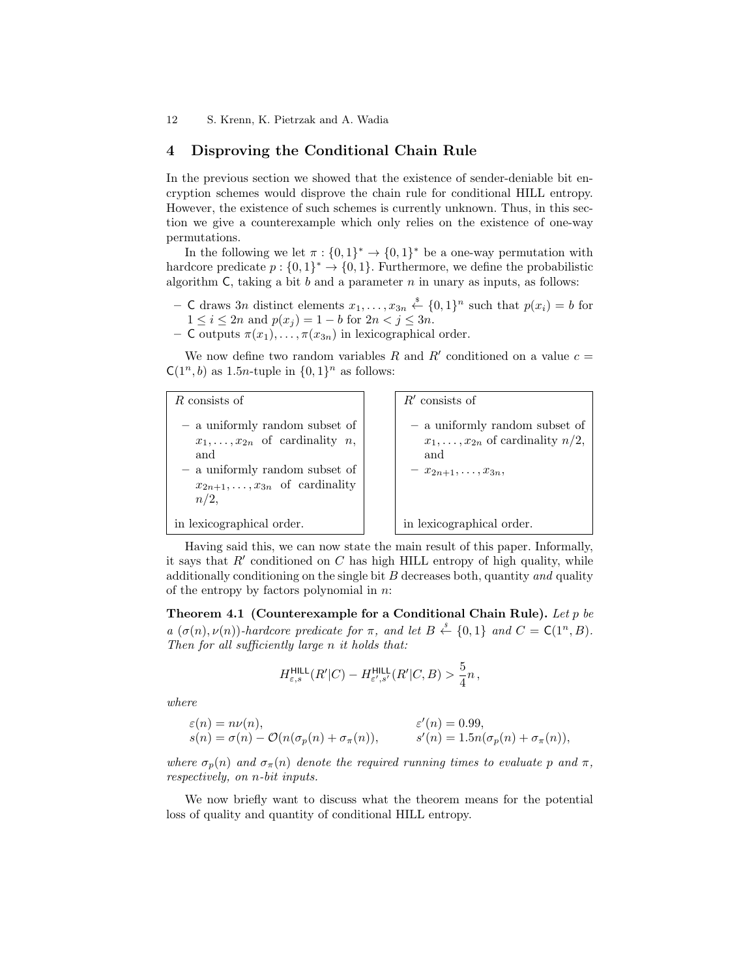### <span id="page-11-0"></span>4 Disproving the Conditional Chain Rule

In the previous section we showed that the existence of sender-deniable bit encryption schemes would disprove the chain rule for conditional HILL entropy. However, the existence of such schemes is currently unknown. Thus, in this section we give a counterexample which only relies on the existence of one-way permutations.

In the following we let  $\pi: \{0,1\}^* \to \{0,1\}^*$  be a one-way permutation with hardcore predicate  $p: \{0,1\}^* \to \{0,1\}$ . Furthermore, we define the probabilistic algorithm  $C$ , taking a bit b and a parameter n in unary as inputs, as follows:

- C draws 3n distinct elements  $x_1, \ldots, x_{3n} \stackrel{s}{\leftarrow} \{0,1\}^n$  such that  $p(x_i) = b$  for  $1 \leq i \leq 2n$  and  $p(x_i) = 1 - b$  for  $2n < j \leq 3n$ .
- C outputs  $\pi(x_1), \ldots, \pi(x_{3n})$  in lexicographical order.

We now define two random variables R and R' conditioned on a value  $c =$  $C(1^n, b)$  as 1.5*n*-tuple in  $\{0, 1\}^n$  as follows:

R consists of

| - a uniformly random subset of            |
|-------------------------------------------|
| $x_1, \ldots, x_{2n}$ of cardinality n,   |
| and                                       |
| - a uniformly random subset of            |
| $x_{2n+1}, \ldots, x_{3n}$ of cardinality |
| $n/2$ ,                                   |
| in lexicographical order.                 |
|                                           |

 $R'$  consists of – a uniformly random subset of  $x_1, \ldots, x_{2n}$  of cardinality  $n/2$ , and  $- x_{2n+1}, \ldots, x_{3n}$ 

in lexicographical order.

Having said this, we can now state the main result of this paper. Informally, it says that  $R'$  conditioned on  $C$  has high HILL entropy of high quality, while additionally conditioning on the single bit  $B$  decreases both, quantity and quality of the entropy by factors polynomial in  $n$ :

<span id="page-11-1"></span>Theorem 4.1 (Counterexample for a Conditional Chain Rule). Let  $p$  be a  $(\sigma(n), \nu(n))$ -hardcore predicate for  $\pi$ , and let  $B \stackrel{s}{\leftarrow} \{0,1\}$  and  $C = C(1^n, B)$ . Then for all sufficiently large n it holds that:

$$
H^{\mathrm{HILL}}_{\varepsilon,s}(R'|C)-H^{\mathrm{HILL}}_{\varepsilon',s'}(R'|C,B)>\frac{5}{4}n\,,
$$

where

$$
\varepsilon(n) = n\nu(n),
$$
  
\n
$$
s(n) = \sigma(n) - \mathcal{O}(n(\sigma_p(n) + \sigma_\pi(n)),
$$
  
\n
$$
\varepsilon'(n) = 0.99,
$$
  
\n
$$
s'(n) = 1.5n(\sigma_p(n) + \sigma_\pi(n)),
$$

where  $\sigma_n(n)$  and  $\sigma_{\pi}(n)$  denote the required running times to evaluate p and  $\pi$ , respectively, on n-bit inputs.

We now briefly want to discuss what the theorem means for the potential loss of quality and quantity of conditional HILL entropy.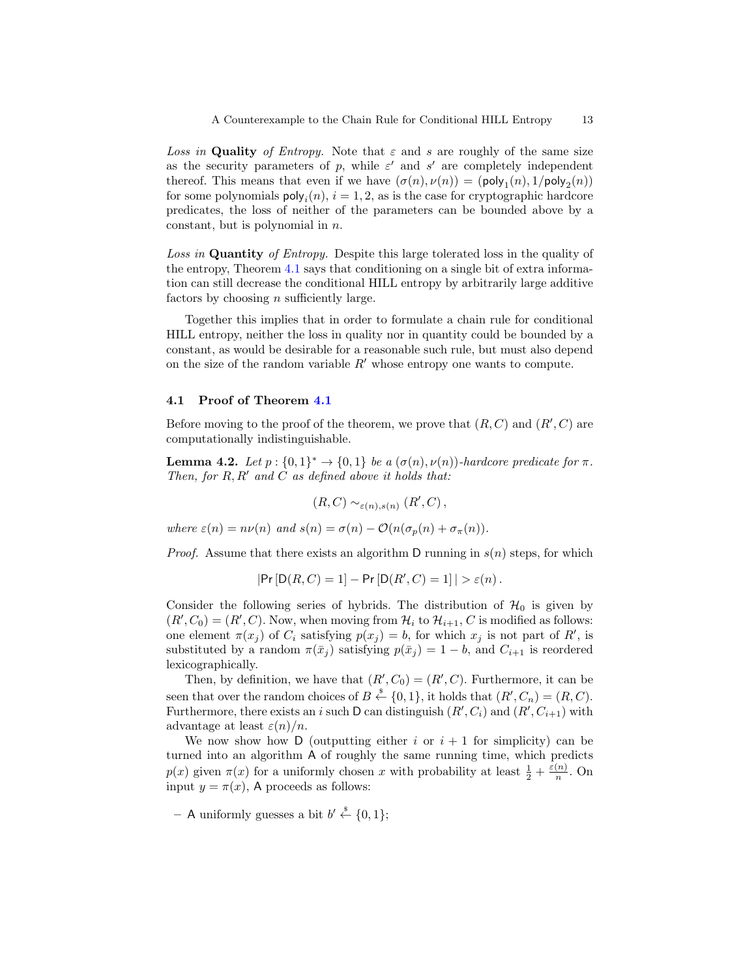Loss in Quality of Entropy. Note that  $\varepsilon$  and s are roughly of the same size as the security parameters of p, while  $\varepsilon'$  and s' are completely independent thereof. This means that even if we have  $(\sigma(n), \nu(n)) = (\text{poly}_1(n), 1/\text{poly}_2(n))$ for some polynomials  $\text{poly}_i(n)$ ,  $i = 1, 2$ , as is the case for cryptographic hardcore predicates, the loss of neither of the parameters can be bounded above by a constant, but is polynomial in  $n$ .

Loss in **Quantity** of Entropy. Despite this large tolerated loss in the quality of the entropy, Theorem [4.1](#page-11-1) says that conditioning on a single bit of extra information can still decrease the conditional HILL entropy by arbitrarily large additive factors by choosing  $n$  sufficiently large.

Together this implies that in order to formulate a chain rule for conditional HILL entropy, neither the loss in quality nor in quantity could be bounded by a constant, as would be desirable for a reasonable such rule, but must also depend on the size of the random variable  $R'$  whose entropy one wants to compute.

### 4.1 Proof of Theorem [4.1](#page-11-1)

Before moving to the proof of the theorem, we prove that  $(R, C)$  and  $(R', C)$  are computationally indistinguishable.

**Lemma 4.2.** Let  $p: \{0,1\}^* \to \{0,1\}$  be a  $(\sigma(n), \nu(n))$ -hardcore predicate for  $\pi$ . Then, for  $R, R'$  and  $C$  as defined above it holds that:

<span id="page-12-0"></span>
$$
(R, C) \sim_{\varepsilon(n), s(n)} (R', C),
$$

where  $\varepsilon(n) = n\nu(n)$  and  $s(n) = \sigma(n) - \mathcal{O}(n(\sigma_n(n) + \sigma_\pi(n)).$ 

*Proof.* Assume that there exists an algorithm D running in  $s(n)$  steps, for which

$$
|\Pr[D(R, C) = 1] - \Pr[D(R', C) = 1]| > \varepsilon(n).
$$

Consider the following series of hybrids. The distribution of  $\mathcal{H}_0$  is given by  $(R', C_0) = (R', C)$ . Now, when moving from  $\mathcal{H}_i$  to  $\mathcal{H}_{i+1}, C$  is modified as follows: one element  $\pi(x_j)$  of  $C_i$  satisfying  $p(x_j) = b$ , for which  $x_j$  is not part of  $R'$ , is substituted by a random  $\pi(\bar{x}_j)$  satisfying  $p(\bar{x}_j) = 1 - b$ , and  $C_{i+1}$  is reordered lexicographically.

Then, by definition, we have that  $(R', C_0) = (R', C)$ . Furthermore, it can be seen that over the random choices of  $B \stackrel{\$}{\leftarrow} \{0,1\}$ , it holds that  $(R', C_n) = (R, C)$ . Furthermore, there exists an i such D can distinguish  $(R', C_i)$  and  $(R', C_{i+1})$  with advantage at least  $\varepsilon(n)/n$ .

We now show how D (outputting either i or  $i + 1$  for simplicity) can be turned into an algorithm A of roughly the same running time, which predicts  $p(x)$  given  $\pi(x)$  for a uniformly chosen x with probability at least  $\frac{1}{2} + \frac{\varepsilon(n)}{n}$  $\frac{(n)}{n}$ . On input  $y = \pi(x)$ , A proceeds as follows:

 $-$  A uniformly guesses a bit  $b' \stackrel{\hspace{0.1em}\mathsf{\scriptscriptstyle\$}}{\leftarrow} \{0,1\};$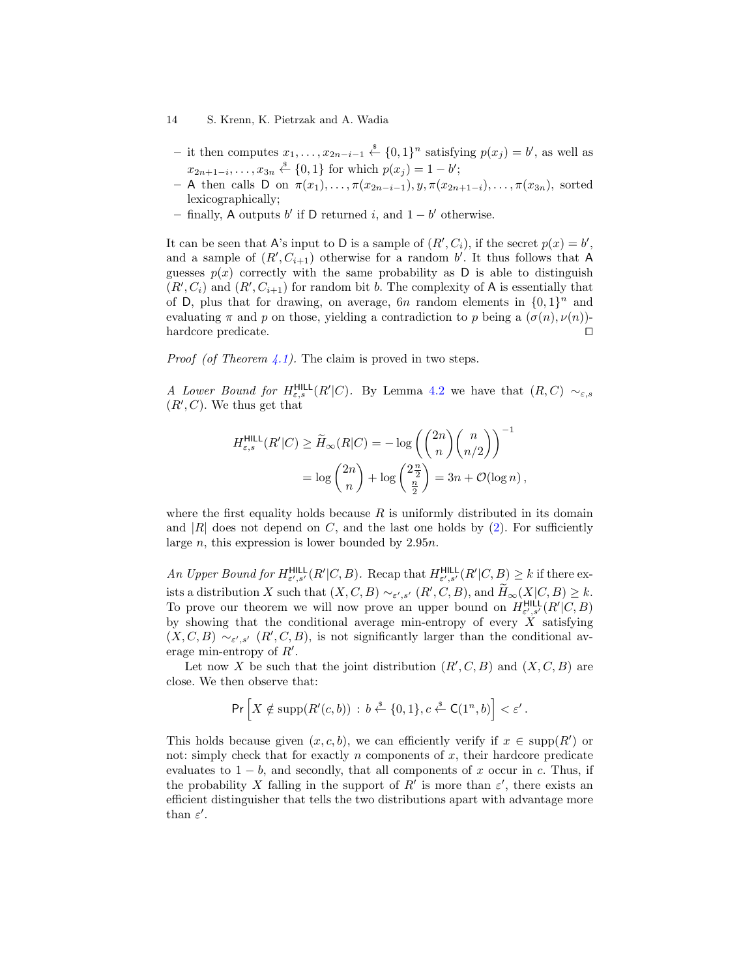#### 14 S. Krenn, K. Pietrzak and A. Wadia

- it then computes  $x_1, \ldots, x_{2n-i-1} \stackrel{\hspace{0.1em}\mathsf{\scriptscriptstyle\$}}{\leftarrow} \{0,1\}^n$  satisfying  $p(x_j) = b'$ , as well as  $x_{2n+1-i}, \ldots, x_{3n} \stackrel{\hspace{0.1em}\mathsf{\scriptscriptstyle\$}}{\leftarrow} \{0,1\}$  for which  $p(x_j) = 1 - b'$ ;
- A then calls D on  $\pi(x_1), \ldots, \pi(x_{2n-i-1}), y, \pi(x_{2n+1-i}), \ldots, \pi(x_{3n}),$  sorted lexicographically;
- − finally, A outputs  $b'$  if D returned i, and  $1 b'$  otherwise.

It can be seen that A's input to D is a sample of  $(R', C_i)$ , if the secret  $p(x) = b'$ , and a sample of  $(R', C_{i+1})$  otherwise for a random b'. It thus follows that A guesses  $p(x)$  correctly with the same probability as D is able to distinguish  $(R', C_i)$  and  $(R', C_{i+1})$  for random bit b. The complexity of A is essentially that of D, plus that for drawing, on average,  $6n$  random elements in  $\{0,1\}^n$  and evaluating  $\pi$  and p on those, yielding a contradiction to p being a  $(\sigma(n), \nu(n))$ hardcore predicate.  $\Box$ 

*Proof (of Theorem [4.1\)](#page-11-1)*. The claim is proved in two steps.

A Lower Bound for  $H_{\varepsilon,s}^{\text{HILL}}(R'|C)$ . By Lemma [4.2](#page-12-0) we have that  $(R,C) \sim_{\varepsilon,s}$  $(R', C)$ . We thus get that

$$
H_{\varepsilon,s}^{\text{HILL}}(R'|C) \ge \widetilde{H}_{\infty}(R|C) = -\log\left(\binom{2n}{n}\binom{n}{n/2}\right)^{-1}
$$

$$
= \log\binom{2n}{n} + \log\binom{2\frac{n}{2}}{\frac{n}{2}} = 3n + \mathcal{O}(\log n),
$$

where the first equality holds because  $R$  is uniformly distributed in its domain and  $|R|$  does not depend on C, and the last one holds by  $(2)$ . For sufficiently large  $n$ , this expression is lower bounded by  $2.95n$ .

An Upper Bound for  $H_{\varepsilon',s'}^{\text{HILL}}(R'|C,B)$ . Recap that  $H_{\varepsilon',s'}^{\text{HILL}}(R'|C,B) \geq k$  if there exists a distribution X such that  $(X, C, B) \sim_{\varepsilon', s'} (R', C, B)$ , and  $\widetilde{H}_{\infty}(X|C, B) \geq k$ . To prove our theorem we will now prove an upper bound on  $H_{\varepsilon', s'}^{\text{HILL}}(R'|C, B)$ by showing that the conditional average min-entropy of every  $\overline{X}$  satisfying  $(X, C, B) \sim_{\varepsilon', s'} (R', C, B)$ , is not significantly larger than the conditional average min-entropy of  $R'$ .

Let now X be such that the joint distribution  $(R', C, B)$  and  $(X, C, B)$  are close. We then observe that:

$$
\Pr\left[X \notin \mathrm{supp}(R'(c,b)) : b \stackrel{\hspace{0.1em}\mathsf{\scriptscriptstyle\$}}{\leftarrow} \{0,1\}, c \stackrel{\hspace{0.1em}\mathsf{\scriptscriptstyle\$}}{\leftarrow} \mathsf{C}(1^n,b)\right] < \varepsilon'.
$$

This holds because given  $(x, c, b)$ , we can efficiently verify if  $x \in \text{supp}(R')$  or not: simply check that for exactly n components of  $x$ , their hardcore predicate evaluates to  $1 - b$ , and secondly, that all components of x occur in c. Thus, if the probability X falling in the support of R' is more than  $\varepsilon'$ , there exists an efficient distinguisher that tells the two distributions apart with advantage more than  $\varepsilon'$ .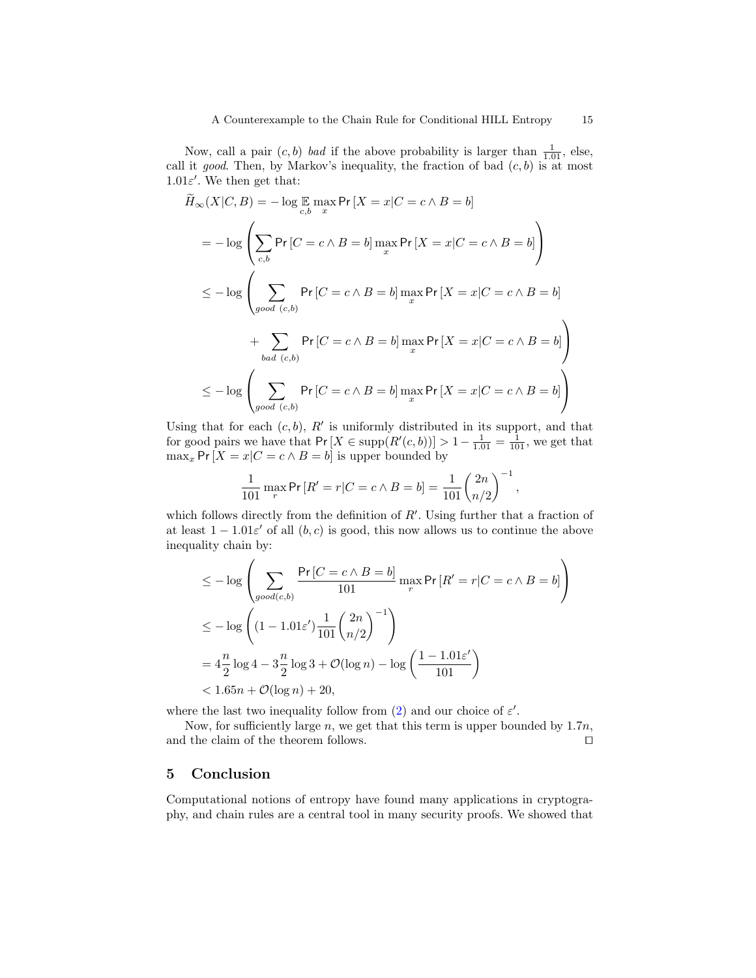Now, call a pair  $(c, b)$  bad if the above probability is larger than  $\frac{1}{1.01}$ , else, call it *good*. Then, by Markov's inequality, the fraction of bad  $(c, b)$  is at most  $1.01\varepsilon'$ . We then get that:

$$
\widetilde{H}_{\infty}(X|C, B) = -\log \mathbb{E} \max_{c, b} \Pr\left[X = x | C = c \land B = b\right]
$$
\n
$$
= -\log \left(\sum_{c, b} \Pr\left[C = c \land B = b\right] \max_{x} \Pr\left[X = x | C = c \land B = b\right]\right)
$$
\n
$$
\leq -\log \left(\sum_{good} \Pr\left[C = c \land B = b\right] \max_{x} \Pr\left[X = x | C = c \land B = b\right]
$$
\n
$$
+ \sum_{bad \ (c, b)} \Pr\left[C = c \land B = b\right] \max_{x} \Pr\left[X = x | C = c \land B = b\right]
$$
\n
$$
\leq -\log \left(\sum_{good \ (c, b)} \Pr\left[C = c \land B = b\right] \max_{x} \Pr\left[X = x | C = c \land B = b\right]\right)
$$

Using that for each  $(c, b)$ ,  $R'$  is uniformly distributed in its support, and that for good pairs we have that  $Pr[X \in \text{supp}(R'(c, b))] > 1 - \frac{1}{1.01} = \frac{1}{101}$ , we get that  $\max_x \Pr[X = x | C = c \land B = b]$  is upper bounded by

$$
\frac{1}{101} \max_r \Pr\left[R' = r | C = c \land B = b\right] = \frac{1}{101} \binom{2n}{n/2}^{-1}
$$

,

which follows directly from the definition of  $R'$ . Using further that a fraction of at least  $1 - 1.01\varepsilon'$  of all  $(b, c)$  is good, this now allows us to continue the above inequality chain by:

$$
\leq -\log\left(\sum_{\text{good}(c,b)} \frac{\Pr\left[C=c \wedge B=b\right]}{101} \max_{r} \Pr\left[R'=r|C=c \wedge B=b\right]\right)
$$
  

$$
\leq -\log\left((1-1.01\varepsilon')\frac{1}{101}\left(\frac{2n}{n/2}\right)^{-1}\right)
$$
  

$$
= 4\frac{n}{2}\log 4 - 3\frac{n}{2}\log 3 + \mathcal{O}(\log n) - \log\left(\frac{1-1.01\varepsilon'}{101}\right)
$$
  

$$
< 1.65n + \mathcal{O}(\log n) + 20,
$$

where the last two inequality follow from [\(2\)](#page-7-0) and our choice of  $\varepsilon'$ .

Now, for sufficiently large  $n$ , we get that this term is upper bounded by 1.7n, and the claim of the theorem follows.  $\hfill \Box$ 

# 5 Conclusion

Computational notions of entropy have found many applications in cryptography, and chain rules are a central tool in many security proofs. We showed that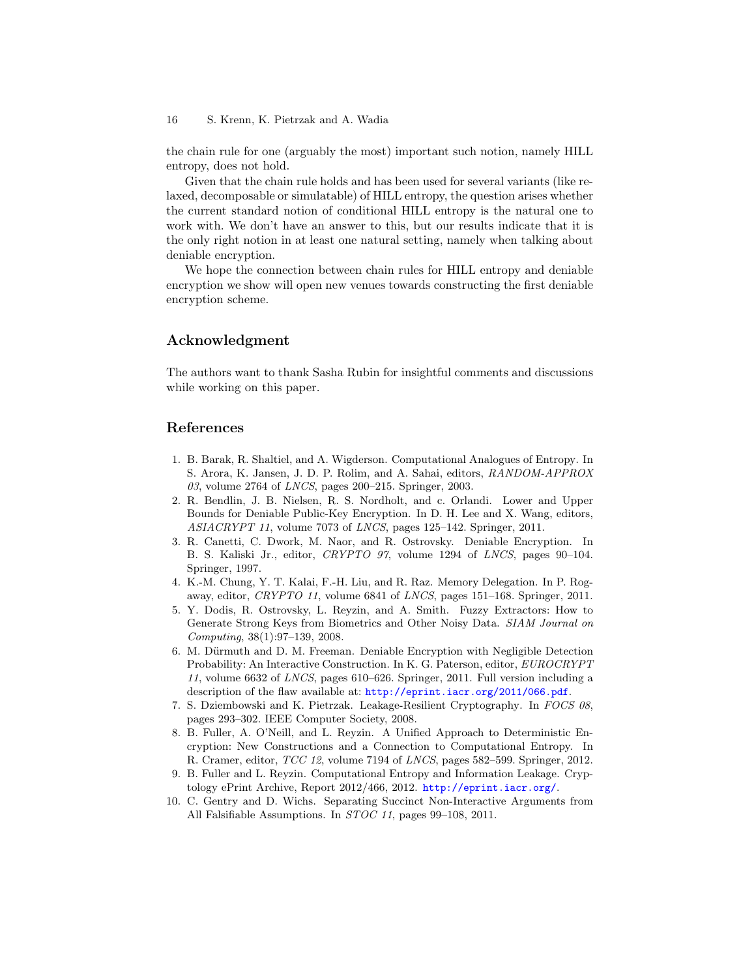the chain rule for one (arguably the most) important such notion, namely HILL entropy, does not hold.

Given that the chain rule holds and has been used for several variants (like relaxed, decomposable or simulatable) of HILL entropy, the question arises whether the current standard notion of conditional HILL entropy is the natural one to work with. We don't have an answer to this, but our results indicate that it is the only right notion in at least one natural setting, namely when talking about deniable encryption.

We hope the connection between chain rules for HILL entropy and deniable encryption we show will open new venues towards constructing the first deniable encryption scheme.

# Acknowledgment

The authors want to thank Sasha Rubin for insightful comments and discussions while working on this paper.

### References

- <span id="page-15-1"></span>1. B. Barak, R. Shaltiel, and A. Wigderson. Computational Analogues of Entropy. In S. Arora, K. Jansen, J. D. P. Rolim, and A. Sahai, editors, RANDOM-APPROX  $03$ , volume 2764 of *LNCS*, pages 200–215. Springer, 2003.
- <span id="page-15-5"></span>2. R. Bendlin, J. B. Nielsen, R. S. Nordholt, and c. Orlandi. Lower and Upper Bounds for Deniable Public-Key Encryption. In D. H. Lee and X. Wang, editors, ASIACRYPT 11, volume 7073 of LNCS, pages 125–142. Springer, 2011.
- <span id="page-15-4"></span>3. R. Canetti, C. Dwork, M. Naor, and R. Ostrovsky. Deniable Encryption. In B. S. Kaliski Jr., editor, CRYPTO 97, volume 1294 of LNCS, pages 90–104. Springer, 1997.
- <span id="page-15-7"></span>4. K.-M. Chung, Y. T. Kalai, F.-H. Liu, and R. Raz. Memory Delegation. In P. Rogaway, editor, CRYPTO 11, volume 6841 of LNCS, pages 151–168. Springer, 2011.
- <span id="page-15-0"></span>5. Y. Dodis, R. Ostrovsky, L. Reyzin, and A. Smith. Fuzzy Extractors: How to Generate Strong Keys from Biometrics and Other Noisy Data. SIAM Journal on Computing, 38(1):97–139, 2008.
- <span id="page-15-9"></span>6. M. Dürmuth and D. M. Freeman. Deniable Encryption with Negligible Detection Probability: An Interactive Construction. In K. G. Paterson, editor, EUROCRYPT 11, volume 6632 of LNCS, pages 610–626. Springer, 2011. Full version including a description of the flaw available at: <http://eprint.iacr.org/2011/066.pdf>.
- <span id="page-15-2"></span>7. S. Dziembowski and K. Pietrzak. Leakage-Resilient Cryptography. In FOCS 08, pages 293–302. IEEE Computer Society, 2008.
- <span id="page-15-6"></span>8. B. Fuller, A. O'Neill, and L. Reyzin. A Unified Approach to Deterministic Encryption: New Constructions and a Connection to Computational Entropy. In R. Cramer, editor, TCC 12, volume 7194 of LNCS, pages 582–599. Springer, 2012.
- <span id="page-15-3"></span>9. B. Fuller and L. Reyzin. Computational Entropy and Information Leakage. Cryptology ePrint Archive, Report 2012/466, 2012. <http://eprint.iacr.org/>.
- <span id="page-15-8"></span>10. C. Gentry and D. Wichs. Separating Succinct Non-Interactive Arguments from All Falsifiable Assumptions. In STOC 11, pages 99–108, 2011.